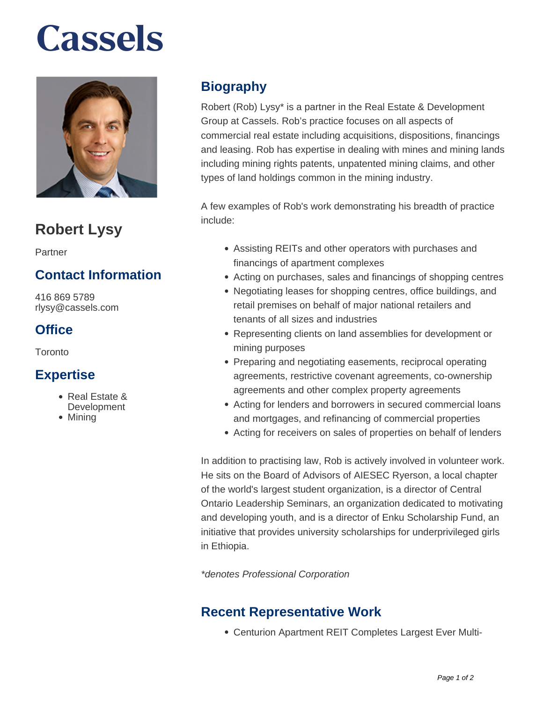# **Cassels**



# **Robert Lysy**

Partner

### **Contact Information**

416 869 5789 rlysy@cassels.com

#### **Office**

Toronto

#### **Expertise**

- Real Estate &
- **Development**
- Mining

## **Biography**

Robert (Rob) Lysy\* is a partner in the Real Estate & Development Group at Cassels. Rob's practice focuses on all aspects of commercial real estate including acquisitions, dispositions, financings and leasing. Rob has expertise in dealing with mines and mining lands including mining rights patents, unpatented mining claims, and other types of land holdings common in the mining industry.

A few examples of Rob's work demonstrating his breadth of practice include:

- Assisting REITs and other operators with purchases and financings of apartment complexes
- Acting on purchases, sales and financings of shopping centres
- Negotiating leases for shopping centres, office buildings, and retail premises on behalf of major national retailers and tenants of all sizes and industries
- Representing clients on land assemblies for development or mining purposes
- Preparing and negotiating easements, reciprocal operating agreements, restrictive covenant agreements, co-ownership agreements and other complex property agreements
- Acting for lenders and borrowers in secured commercial loans and mortgages, and refinancing of commercial properties
- Acting for receivers on sales of properties on behalf of lenders

In addition to practising law, Rob is actively involved in volunteer work. He sits on the Board of Advisors of AIESEC Ryerson, a local chapter of the world's largest student organization, is a director of Central Ontario Leadership Seminars, an organization dedicated to motivating and developing youth, and is a director of Enku Scholarship Fund, an initiative that provides university scholarships for underprivileged girls in Ethiopia.

\*denotes Professional Corporation

#### **Recent Representative Work**

Centurion Apartment REIT Completes Largest Ever Multi-